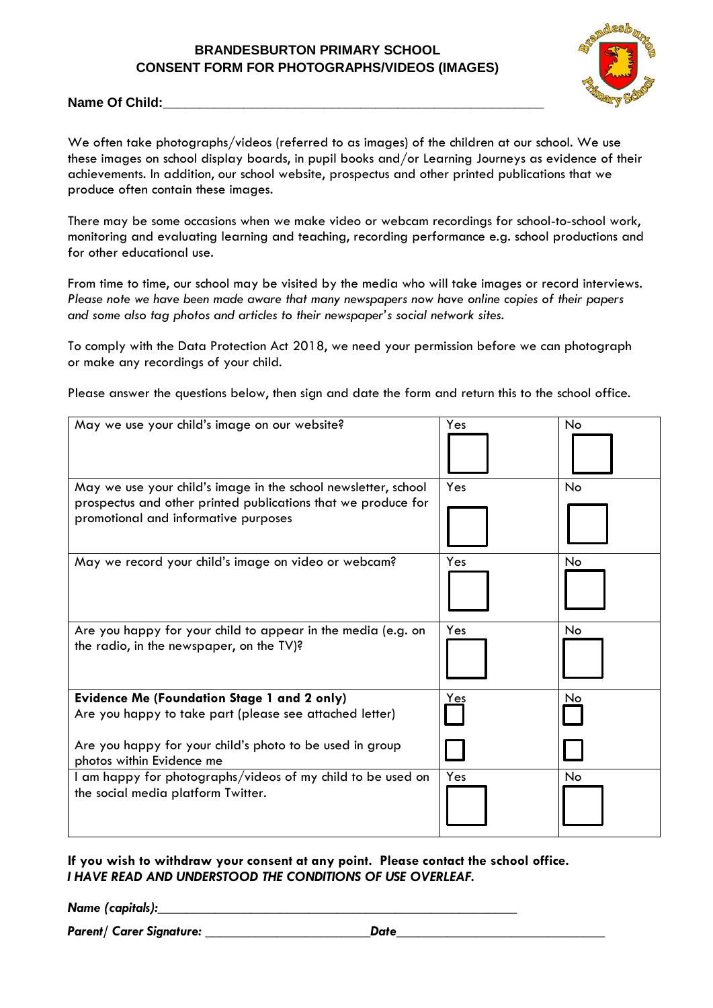# **BRANDESBURTON PRIMARY SCHOOL CONSENT FORM FOR PHOTOGRAPHS/VIDEOS (IMAGES)**



#### Name Of Child:

We often take photographs/videos (referred to as images) of the children at our school. We use these images on school display boards, in pupil books and/or Learning Journeys as evidence of their achievements. In addition, our school website, prospectus and other printed publications that we produce often contain these images.

There may be some occasions when we make video or webcam recordings for school-to-school work, monitoring and evaluating learning and teaching, recording performance e.g. school productions and for other educational use.

From time to time, our school may be visited by the media who will take images or record interviews. *Please note we have been made aware that many newspapers now have online copies of their papers and some also tag photos and articles to their newspaper's social network sites.*

To comply with the Data Protection Act 2018, we need your permission before we can photograph or make any recordings of your child.

Please answer the questions below, then sign and date the form and return this to the school office.

| May we use your child's image on our website?                                                                                                                           | Yes   | No  |
|-------------------------------------------------------------------------------------------------------------------------------------------------------------------------|-------|-----|
| May we use your child's image in the school newsletter, school<br>prospectus and other printed publications that we produce for<br>promotional and informative purposes | Yes   | No  |
| May we record your child's image on video or webcam?                                                                                                                    | Yes   | No. |
| Are you happy for your child to appear in the media (e.g. on<br>the radio, in the newspaper, on the TV)?                                                                | Yes   | No. |
| <b>Evidence Me (Foundation Stage 1 and 2 only)</b>                                                                                                                      | $Yes$ | No  |
| Are you happy to take part (please see attached letter)                                                                                                                 |       |     |
| Are you happy for your child's photo to be used in group<br>photos within Evidence me                                                                                   |       |     |
| I am happy for photographs/videos of my child to be used on<br>the social media platform Twitter.                                                                       | Yes   | No. |

**If you wish to withdraw your consent at any point. Please contact the school office.** *I HAVE READ AND UNDERSTOOD THE CONDITIONS OF USE OVERLEAF.*

*Name (capitals):\_\_\_\_\_\_\_\_\_\_\_\_\_\_\_\_\_\_\_\_\_\_\_\_\_\_\_\_\_\_\_\_\_\_\_\_\_\_\_\_\_\_\_\_\_\_\_\_\_\_*

*Parent/ Carer Signature: \_\_\_\_\_\_\_\_\_\_\_\_\_\_\_\_\_\_\_\_\_\_\_Date\_\_\_\_\_\_\_\_\_\_\_\_\_\_\_\_\_\_\_\_\_\_\_\_\_\_\_\_\_*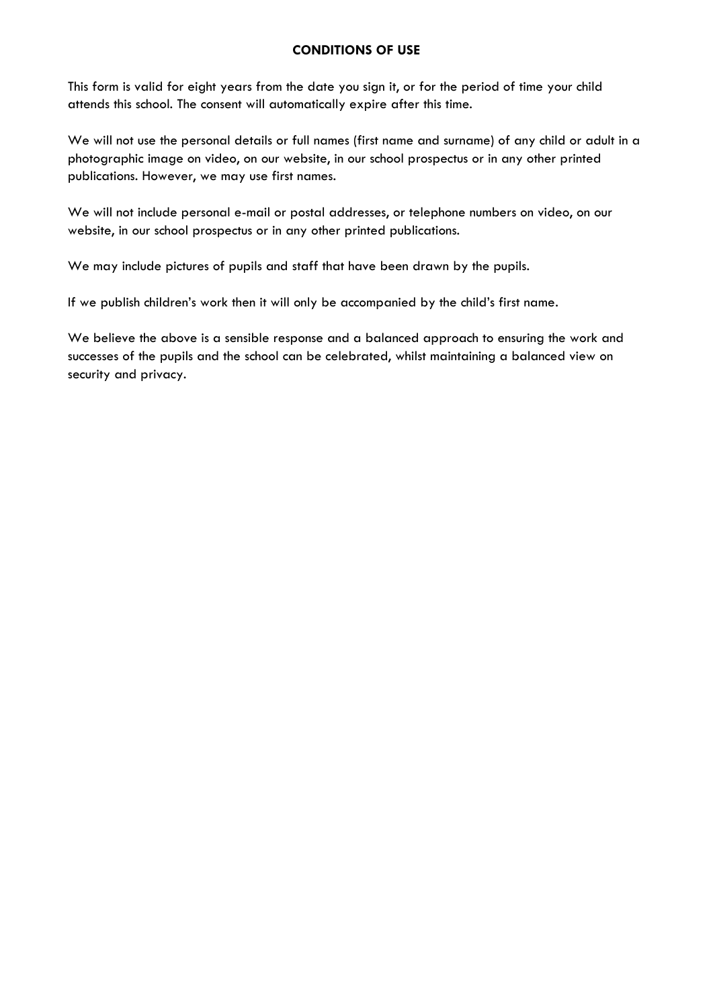## **CONDITIONS OF USE**

This form is valid for eight years from the date you sign it, or for the period of time your child attends this school. The consent will automatically expire after this time.

We will not use the personal details or full names (first name and surname) of any child or adult in a photographic image on video, on our website, in our school prospectus or in any other printed publications. However, we may use first names.

We will not include personal e-mail or postal addresses, or telephone numbers on video, on our website, in our school prospectus or in any other printed publications.

We may include pictures of pupils and staff that have been drawn by the pupils.

If we publish children's work then it will only be accompanied by the child's first name.

We believe the above is a sensible response and a balanced approach to ensuring the work and successes of the pupils and the school can be celebrated, whilst maintaining a balanced view on security and privacy.